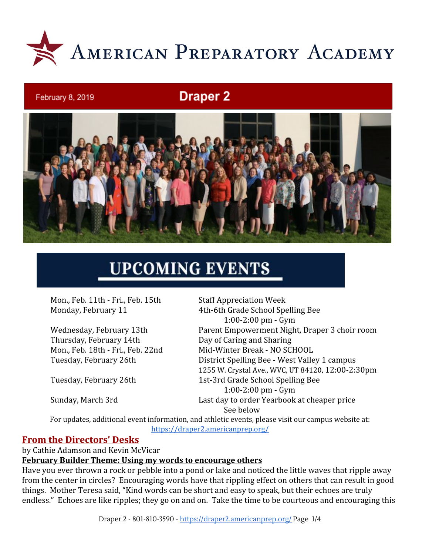

# **Draper 2**



# **UPCOMING EVENTS**

Mon., Feb. 11th - Fri., Feb. 15th Staff Appreciation Week

Thursday, February 14th Day of Caring and Sharing

February 8, 2019

Monday, February 11 4th-6th Grade School Spelling Bee 1:00-2:00 pm - Gym Wednesday, February 13th Parent Empowerment Night, Draper 3 choir room Mon., Feb. 18th - Fri., Feb. 22nd Mid-Winter Break - NO SCHOOL Tuesday, February 26th District Spelling Bee - West Valley 1 campus 1255 W. Crystal Ave., WVC, UT 84120, 12:00-2:30pm Tuesday, February 26th 1st-3rd Grade School Spelling Bee 1:00-2:00 pm - Gym Sunday, March 3rd Last day to order Yearbook at cheaper price See below

For updates, additional event information, and athletic events, please visit our campus website at: <https://draper2.americanprep.org/>

#### **From the Directors' Desks**

by Cathie Adamson and Kevin McVicar

#### **February Builder Theme: Using my words to encourage others**

Have you ever thrown a rock or pebble into a pond or lake and noticed the little waves that ripple away from the center in circles? Encouraging words have that rippling effect on others that can result in good things. Mother Teresa said, "Kind words can be short and easy to speak, but their echoes are truly endless." Echoes are like ripples; they go on and on. Take the time to be courteous and encouraging this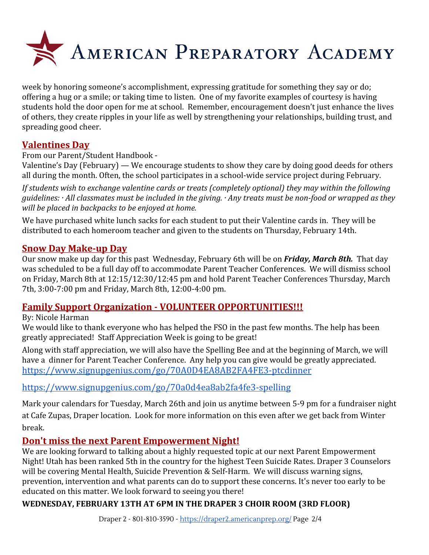

week by honoring someone's accomplishment, expressing gratitude for something they say or do; offering a hug or a smile; or taking time to listen. One of my favorite examples of courtesy is having students hold the door open for me at school. Remember, encouragement doesn't just enhance the lives of others, they create ripples in your life as well by strengthening your relationships, building trust, and spreading good cheer.

# **Valentines Day**

From our Parent/Student Handbook -

Valentine's Day (February) — We encourage students to show they care by doing good deeds for others all during the month. Often, the school participates in a school-wide service project during February.

*If students wish to exchange valentine cards or treats (completely optional) they may within the following guidelines: · All classmates must be included in the giving. · Any treats must be non-food or wrapped as they will be placed in backpacks to be enjoyed at home.*

We have purchased white lunch sacks for each student to put their Valentine cards in. They will be distributed to each homeroom teacher and given to the students on Thursday, February 14th.

# **Snow Day Make-up Day**

Our snow make up day for this past Wednesday, February 6th will be on *Friday, March 8th.* That day was scheduled to be a full day off to accommodate Parent Teacher Conferences. We will dismiss school on Friday, March 8th at 12:15/12:30/12:45 pm and hold Parent Teacher Conferences Thursday, March 7th, 3:00-7:00 pm and Friday, March 8th, 12:00-4:00 pm.

# **Family Support Organization - VOLUNTEER OPPORTUNITIES!!!**

By: Nicole Harman

We would like to thank everyone who has helped the FSO in the past few months. The help has been greatly appreciated! Staff Appreciation Week is going to be great!

Along with staff appreciation, we will also have the Spelling Bee and at the beginning of March, we will have a dinner for Parent Teacher Conference. Any help you can give would be greatly appreciated. <https://www.signupgenius.com/go/70A0D4EA8AB2FA4FE3-ptcdinner>

# <https://www.signupgenius.com/go/70a0d4ea8ab2fa4fe3-spelling>

Mark your calendars for Tuesday, March 26th and join us anytime between 5-9 pm for a fundraiser night at Cafe Zupas, Draper location. Look for more information on this even after we get back from Winter break.

# **Don't miss the next Parent Empowerment Night!**

We are looking forward to talking about a highly requested topic at our next Parent Empowerment Night! Utah has been ranked 5th in the country for the highest Teen Suicide Rates. Draper 3 Counselors will be covering Mental Health, Suicide Prevention & Self-Harm. We will discuss warning signs, prevention, intervention and what parents can do to support these concerns. It's never too early to be educated on this matter. We look forward to seeing you there!

# **WEDNESDAY, FEBRUARY 13TH AT 6PM IN THE DRAPER 3 CHOIR ROOM (3RD FLOOR)**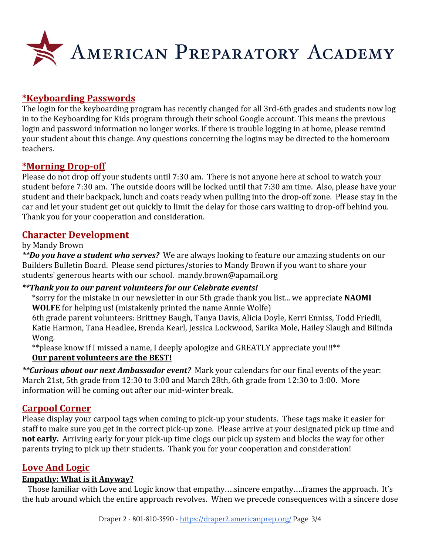

# **\*Keyboarding Passwords**

The login for the keyboarding program has recently changed for all 3rd-6th grades and students now log in to the Keyboarding for Kids program through their school Google account. This means the previous login and password information no longer works. If there is trouble logging in at home, please remind your student about this change. Any questions concerning the logins may be directed to the homeroom teachers.

#### **\*Morning Drop-off**

Please do not drop off your students until 7:30 am. There is not anyone here at school to watch your student before 7:30 am. The outside doors will be locked until that 7:30 am time. Also, please have your student and their backpack, lunch and coats ready when pulling into the drop-off zone. Please stay in the car and let your student get out quickly to limit the delay for those cars waiting to drop-off behind you. Thank you for your cooperation and consideration.

#### **Character Development**

#### by Mandy Brown

*\*\*Do you have a student who serves?* We are always looking to feature our amazing students on our Builders Bulletin Board. Please send pictures/stories to Mandy Brown if you want to share your students' generous hearts with our school. mandy.brown@apamail.org

#### *\*\*Thank you to our parent volunteers for our Celebrate events!*

\*sorry for the mistake in our newsletter in our 5th grade thank you list... we appreciate **NAOMI WOLFE** for helping us! (mistakenly printed the name Annie Wolfe)

6th grade parent volunteers: Brittney Baugh, Tanya Davis, Alicia Doyle, Kerri Enniss, Todd Friedli, Katie Harmon, Tana Headlee, Brenda Kearl, Jessica Lockwood, Sarika Mole, Hailey Slaugh and Bilinda Wong.

\*\*please know if I missed a name, I deeply apologize and GREATLY appreciate you!!!\*\* **Our parent volunteers are the BEST!**

*\*\*Curious about our next Ambassador event?* Mark your calendars for our final events of the year: March 21st, 5th grade from 12:30 to 3:00 and March 28th, 6th grade from 12:30 to 3:00. More information will be coming out after our mid-winter break.

#### **Carpool Corner**

Please display your carpool tags when coming to pick-up your students. These tags make it easier for staff to make sure you get in the correct pick-up zone. Please arrive at your designated pick up time and **not early.** Arriving early for your pick-up time clogs our pick up system and blocks the way for other parents trying to pick up their students. Thank you for your cooperation and consideration!

# **Love And Logic**

#### **Empathy: What is it Anyway?**

 Those familiar with Love and Logic know that empathy….sincere empathy….frames the approach. It's the hub around which the entire approach revolves. When we precede consequences with a sincere dose